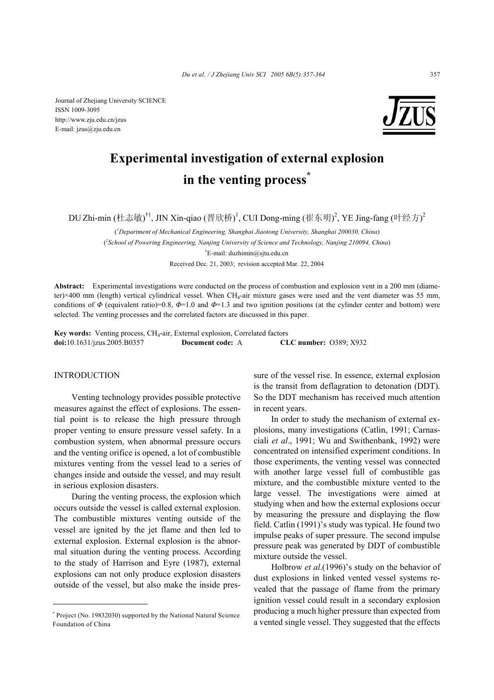Journal of Zhejiang University SCIENCE ISSN 1009-3095 http://www.zju.edu.cn/jzus E-mail: jzus@zju.edu.cn



# **Experimental investigation of external explosion**  in the venting process<sup>\*</sup>

DU Zhi-min (杜志敏)<sup>†1</sup>, JIN Xin-qiao (晋欣桥)<sup>1</sup>, CUI Dong-ming (崔东明)<sup>2</sup>, YE Jing-fang (叶经方)<sup>2</sup>

( *1 Department of Mechanical Engineering, Shanghai Jiaotong University, Shanghai 200030, China*) ( *2 School of Powering Engineering, Nanjing University of Science and Technology, Nanjing 210094, China*) † E-mail: duzhimin@sjtu.edu.cn

Received Dec. 21, 2003; revision accepted Mar. 22, 2004

**Abstract:** Experimental investigations were conducted on the process of combustion and explosion vent in a 200 mm (diameter)×400 mm (length) vertical cylindrical vessel. When CH<sub>4</sub>-air mixture gases were used and the vent diameter was 55 mm, conditions of  $\Phi$  (equivalent ratio)=0.8,  $\Phi$ =1.0 and  $\Phi$ =1.3 and two ignition positions (at the cylinder center and bottom) were selected. The venting processes and the correlated factors are discussed in this paper.

**Key words:** Venting process, CH4-air, External explosion, Correlated factors **doi:**10.1631/jzus.2005.B0357 **Document code:** A **CLC number:** O389; X932

INTRODUCTION

Venting technology provides possible protective measures against the effect of explosions. The essential point is to release the high pressure through proper venting to ensure pressure vessel safety. In a combustion system, when abnormal pressure occurs and the venting orifice is opened, a lot of combustible mixtures venting from the vessel lead to a series of changes inside and outside the vessel, and may result in serious explosion disasters.

During the venting process, the explosion which occurs outside the vessel is called external explosion. The combustible mixtures venting outside of the vessel are ignited by the jet flame and then led to external explosion. External explosion is the abnormal situation during the venting process. According to the study of Harrison and Eyre (1987), external explosions can not only produce explosion disasters outside of the vessel, but also make the inside pressure of the vessel rise. In essence, external explosion is the transit from deflagration to detonation (DDT). So the DDT mechanism has received much attention in recent years.

In order to study the mechanism of external explosions, many investigations (Catlin, 1991; Carnasciali *et al*., 1991; Wu and Swithenbank, 1992) were concentrated on intensified experiment conditions. In those experiments, the venting vessel was connected with another large vessel full of combustible gas mixture, and the combustible mixture vented to the large vessel. The investigations were aimed at studying when and how the external explosions occur by measuring the pressure and displaying the flow field. Catlin (1991)'s study was typical. He found two impulse peaks of super pressure. The second impulse pressure peak was generated by DDT of combustible mixture outside the vessel.

Holbrow *et al*.(1996)'s study on the behavior of dust explosions in linked vented vessel systems revealed that the passage of flame from the primary ignition vessel could result in a secondary explosion producing a much higher pressure than expected from a vented single vessel. They suggested that the effects

<sup>\*</sup> Project (No. 19832030) supported by the National Natural Science Foundation of China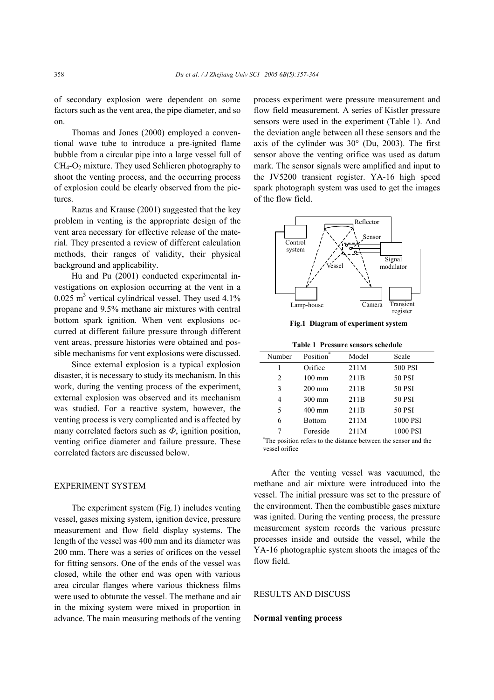of secondary explosion were dependent on some factors such as the vent area, the pipe diameter, and so on.

Thomas and Jones (2000) employed a conventional wave tube to introduce a pre-ignited flame bubble from a circular pipe into a large vessel full of  $CH_4$ - $O_2$  mixture. They used Schlieren photography to shoot the venting process, and the occurring process of explosion could be clearly observed from the pictures.

Razus and Krause (2001) suggested that the key problem in venting is the appropriate design of the vent area necessary for effective release of the material. They presented a review of different calculation methods, their ranges of validity, their physical background and applicability.

Hu and Pu (2001) conducted experimental investigations on explosion occurring at the vent in a  $0.025$  m<sup>3</sup> vertical cylindrical vessel. They used  $4.1\%$ propane and 9.5% methane air mixtures with central bottom spark ignition. When vent explosions occurred at different failure pressure through different vent areas, pressure histories were obtained and possible mechanisms for vent explosions were discussed.

Since external explosion is a typical explosion disaster, it is necessary to study its mechanism. In this work, during the venting process of the experiment, external explosion was observed and its mechanism was studied. For a reactive system, however, the venting process is very complicated and is affected by many correlated factors such as *Ф*, ignition position, venting orifice diameter and failure pressure. These correlated factors are discussed below.

# EXPERIMENT SYSTEM

The experiment system (Fig.1) includes venting vessel, gases mixing system, ignition device, pressure measurement and flow field display systems. The length of the vessel was 400 mm and its diameter was 200 mm. There was a series of orifices on the vessel for fitting sensors. One of the ends of the vessel was closed, while the other end was open with various area circular flanges where various thickness films were used to obturate the vessel. The methane and air in the mixing system were mixed in proportion in advance. The main measuring methods of the venting process experiment were pressure measurement and flow field measurement. A series of Kistler pressure sensors were used in the experiment (Table 1). And the deviation angle between all these sensors and the axis of the cylinder was  $30^{\circ}$  (Du, 2003). The first sensor above the venting orifice was used as datum mark. The sensor signals were amplified and input to the JV5200 transient register. YA-16 high speed spark photograph system was used to get the images of the flow field.



**Fig.1 Diagram of experiment system**

**Table 1 Pressure sensors schedule** 

| Number                                                         | Position <sup>*</sup> | Model            | Scale         |  |
|----------------------------------------------------------------|-----------------------|------------------|---------------|--|
|                                                                | Orifice               | 211M             | 500 PSI       |  |
| 2                                                              | $100 \text{ mm}$      | 211B             | <b>50 PSI</b> |  |
| 3                                                              | $200 \text{ mm}$      | 211 <sub>B</sub> | <b>50 PSI</b> |  |
| 4                                                              | $300$ mm              | 211 <sub>B</sub> | <b>50 PSI</b> |  |
| 5                                                              | $400$ mm              | 211 <sub>B</sub> | 50 PSI        |  |
| 6                                                              | <b>Bottom</b>         | 211M             | 1000 PSI      |  |
| 7                                                              | Foreside              | 211M             | 1000 PSI      |  |
| The position refers to the distance between the sensor and the |                       |                  |               |  |

vessel orifice

After the venting vessel was vacuumed, the methane and air mixture were introduced into the vessel. The initial pressure was set to the pressure of the environment. Then the combustible gases mixture was ignited. During the venting process, the pressure measurement system records the various pressure processes inside and outside the vessel, while the YA-16 photographic system shoots the images of the flow field.

## RESULTS AND DISCUSS

#### **Normal venting process**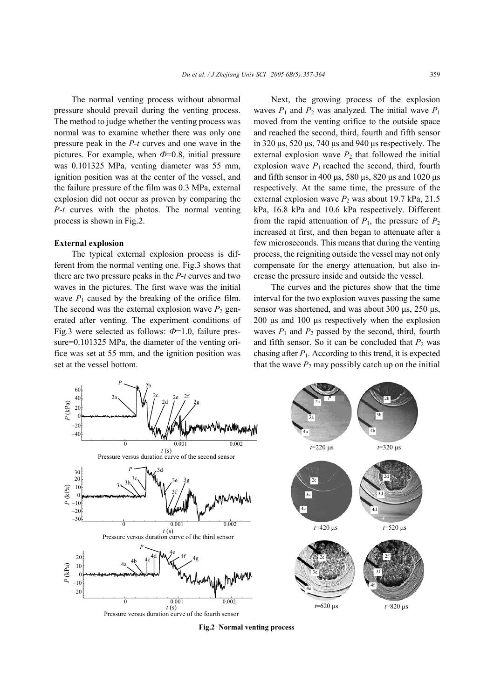The normal venting process without abnormal pressure should prevail during the venting process. The method to judge whether the venting process was normal was to examine whether there was only one pressure peak in the *P*-*t* curves and one wave in the pictures. For example, when  $\Phi$ =0.8, initial pressure was 0.101325 MPa, venting diameter was 55 mm, ignition position was at the center of the vessel, and the failure pressure of the film was 0.3 MPa, external explosion did not occur as proven by comparing the *P*-*t* curves with the photos. The normal venting process is shown in Fig.2.

### **External explosion**

The typical external explosion process is different from the normal venting one. Fig.3 shows that there are two pressure peaks in the *P*-*t* curves and two waves in the pictures. The first wave was the initial wave  $P_1$  caused by the breaking of the orifice film. The second was the external explosion wave  $P_2$  generated after venting. The experiment conditions of Fig.3 were selected as follows: *Ф*=1.0, failure pressure=0.101325 MPa, the diameter of the venting orifice was set at 55 mm, and the ignition position was set at the vessel bottom.

Next, the growing process of the explosion waves  $P_1$  and  $P_2$  was analyzed. The initial wave  $P_1$ moved from the venting orifice to the outside space and reached the second, third, fourth and fifth sensor in 320  $\mu$ s, 520  $\mu$ s, 740  $\mu$ s and 940  $\mu$ s respectively. The external explosion wave  $P_2$  that followed the initial explosion wave  $P_1$  reached the second, third, fourth and fifth sensor in 400  $\mu$ s, 580  $\mu$ s, 820  $\mu$ s and 1020  $\mu$ s respectively. At the same time, the pressure of the external explosion wave  $P_2$  was about 19.7 kPa, 21.5 kPa, 16.8 kPa and 10.6 kPa respectively. Different from the rapid attenuation of  $P_1$ , the pressure of  $P_2$ increased at first, and then began to attenuate after a few microseconds. This means that during the venting process, the reigniting outside the vessel may not only compensate for the energy attenuation, but also increase the pressure inside and outside the vessel.

The curves and the pictures show that the time interval for the two explosion waves passing the same sensor was shortened, and was about 300  $\mu$ s, 250  $\mu$ s, 200 µs and 100 µs respectively when the explosion waves  $P_1$  and  $P_2$  passed by the second, third, fourth and fifth sensor. So it can be concluded that  $P_2$  was chasing after  $P_1$ . According to this trend, it is expected that the wave  $P_2$  may possibly catch up on the initial



**Fig.2 Normal venting process**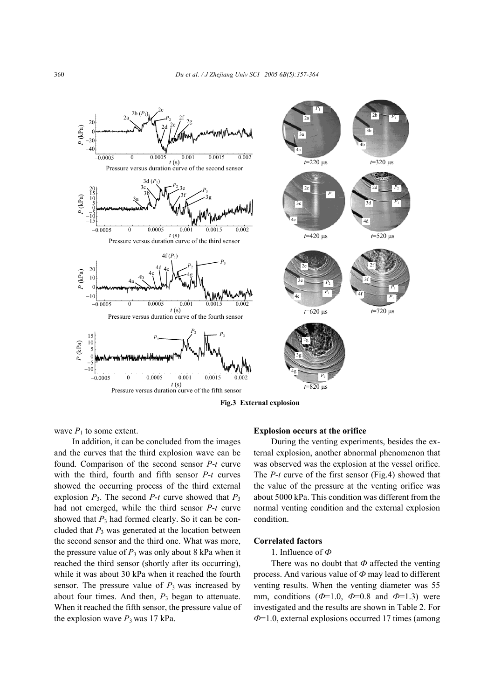

**Fig.3 External explosion** 

wave  $P_1$  to some extent.

In addition, it can be concluded from the images and the curves that the third explosion wave can be found. Comparison of the second sensor *P*-*t* curve with the third, fourth and fifth sensor *P*-*t* curves showed the occurring process of the third external explosion  $P_3$ . The second  $P-t$  curve showed that  $P_3$ had not emerged, while the third sensor *P*-*t* curve showed that  $P_3$  had formed clearly. So it can be concluded that  $P_3$  was generated at the location between the second sensor and the third one. What was more, the pressure value of  $P_3$  was only about 8 kPa when it reached the third sensor (shortly after its occurring), while it was about 30 kPa when it reached the fourth sensor. The pressure value of  $P_3$  was increased by about four times. And then,  $P_3$  began to attenuate. When it reached the fifth sensor, the pressure value of the explosion wave  $P_3$  was 17 kPa.

## **Explosion occurs at the orifice**

During the venting experiments, besides the external explosion, another abnormal phenomenon that was observed was the explosion at the vessel orifice. The *P*-*t* curve of the first sensor (Fig.4) showed that the value of the pressure at the venting orifice was about 5000 kPa. This condition was different from the normal venting condition and the external explosion condition.

## **Correlated factors**

#### 1. Influence of *Ф*

There was no doubt that *Ф* affected the venting process. And various value of *Ф* may lead to different venting results. When the venting diameter was 55 mm, conditions  $(\Phi=1.0, \Phi=0.8$  and  $\Phi=1.3$ ) were investigated and the results are shown in Table 2. For *Ф*=1.0, external explosions occurred 17 times (among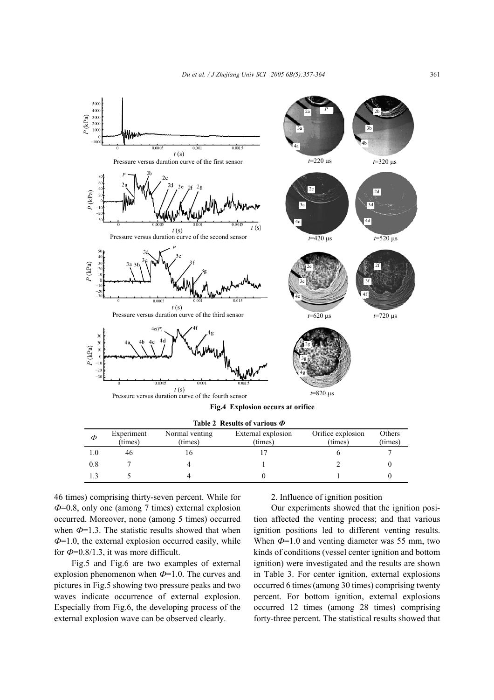

| Φ   | Experiment<br>(times) | Normal venting<br>(times) | External explosion<br>(times) | Orifice explosion<br>(times) | Others<br>(times) |
|-----|-----------------------|---------------------------|-------------------------------|------------------------------|-------------------|
|     | 46                    |                           |                               |                              |                   |
| 0.8 |                       |                           |                               |                              |                   |
|     |                       |                           |                               |                              |                   |
|     |                       |                           |                               |                              |                   |

46 times) comprising thirty-seven percent. While for *Ф*=0.8, only one (among 7 times) external explosion occurred. Moreover, none (among 5 times) occurred when  $\Phi$ =1.3. The statistic results showed that when *Ф*=1.0, the external explosion occurred easily, while for  $\Phi$ =0.8/1.3, it was more difficult.

Fig.5 and Fig.6 are two examples of external explosion phenomenon when *Ф*=1.0. The curves and pictures in Fig.5 showing two pressure peaks and two waves indicate occurrence of external explosion. Especially from Fig.6, the developing process of the external explosion wave can be observed clearly.

#### 2. Influence of ignition position

Our experiments showed that the ignition position affected the venting process; and that various ignition positions led to different venting results. When *Ф*=1.0 and venting diameter was 55 mm, two kinds of conditions (vessel center ignition and bottom ignition) were investigated and the results are shown in Table 3. For center ignition, external explosions occurred 6 times (among 30 times) comprising twenty percent. For bottom ignition, external explosions occurred 12 times (among 28 times) comprising forty-three percent. The statistical results showed that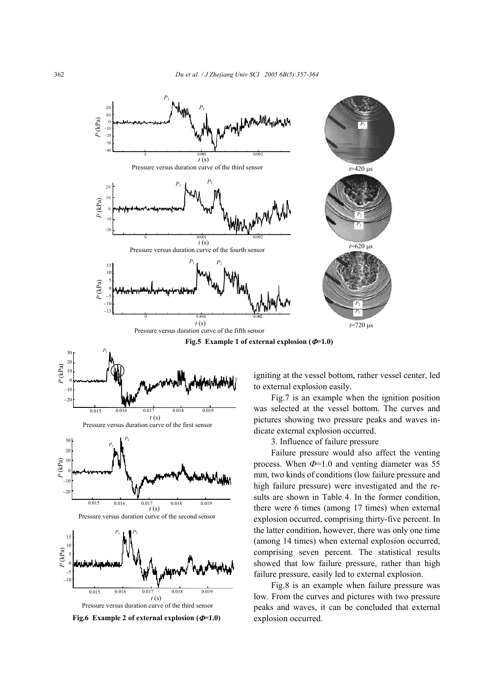







Pressure versus duration curve of the second sensor





**Fig.6 Example 2 of external explosion (**Φ**=1.0)** 

igniting at the vessel bottom, rather vessel center, led to external explosion easily.

Fig.7 is an example when the ignition position was selected at the vessel bottom. The curves and pictures showing two pressure peaks and waves indicate external explosion occurred.

3. Influence of failure pressure

Failure pressure would also affect the venting process. When  $\Phi$ =1.0 and venting diameter was 55 mm, two kinds of conditions (low failure pressure and high failure pressure) were investigated and the results are shown in Table 4. In the former condition, there were 6 times (among 17 times) when external explosion occurred, comprising thirty-five percent. In the latter condition, however, there was only one time (among 14 times) when external explosion occurred, comprising seven percent. The statistical results showed that low failure pressure, rather than high failure pressure, easily led to external explosion.

Fig.8 is an example when failure pressure was low. From the curves and pictures with two pressure peaks and waves, it can be concluded that external explosion occurred.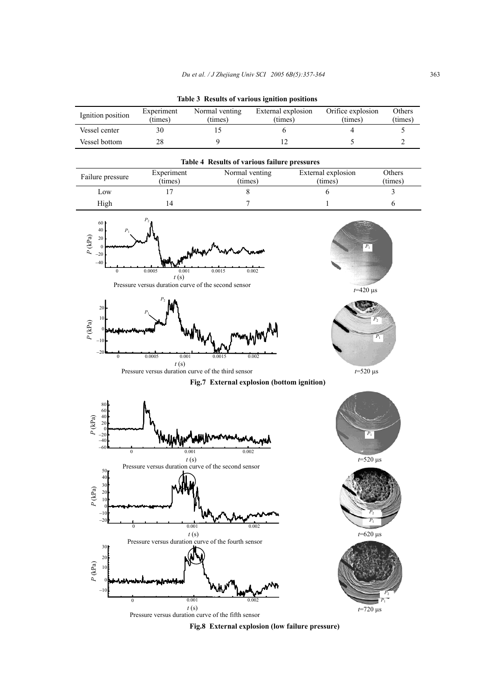|  |  |  |  |  | Table 3 Results of various ignition positions |
|--|--|--|--|--|-----------------------------------------------|
|--|--|--|--|--|-----------------------------------------------|

| Ignition position | Experiment<br>(times) | Normal venting<br>(times) | External explosion<br>(times) | Orifice explosion<br>(times) | Others<br>(times) |
|-------------------|-----------------------|---------------------------|-------------------------------|------------------------------|-------------------|
| Vessel center     |                       |                           |                               |                              |                   |
| Vessel bottom     |                       |                           |                               |                              |                   |

| <b>Table 4 Results of various failure pressures</b> |            |                |                    |         |  |  |
|-----------------------------------------------------|------------|----------------|--------------------|---------|--|--|
| Failure pressure                                    | Experiment | Normal venting | External explosion | Others  |  |  |
|                                                     | (times)    | (times)        | (times)            | (times) |  |  |
| Low                                                 |            |                |                    |         |  |  |
| High                                                | 14         |                |                    |         |  |  |





Pressure versus duration curve of the third sensor

*t* (s)





*P*2

*t*=520 µs

**Fig.7 External explosion (bottom ignition)** 



**Fig.8 External explosion (low failure pressure)**